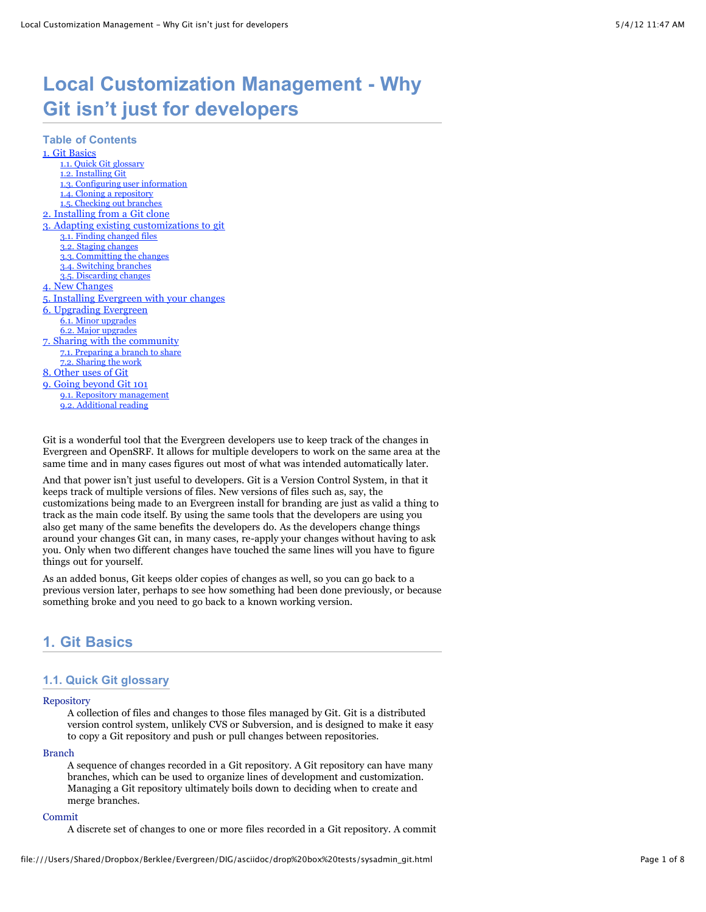# **Local Customization Management - Why Git isn't just for developers**

**Table of Contents** [1. Git Basics](file:///Users/Shared/Dropbox/Berklee/Evergreen/DIG/asciidoc/drop%20box%20tests/sysadmin_git.html#_git_basics) [1.1. Quick Git glossary](file:///Users/Shared/Dropbox/Berklee/Evergreen/DIG/asciidoc/drop%20box%20tests/sysadmin_git.html#_quick_git_glossary) [1.2. Installing Git](file:///Users/Shared/Dropbox/Berklee/Evergreen/DIG/asciidoc/drop%20box%20tests/sysadmin_git.html#_installing_git) [1.3. Configuring user information](file:///Users/Shared/Dropbox/Berklee/Evergreen/DIG/asciidoc/drop%20box%20tests/sysadmin_git.html#_configuring_user_information) [1.4. Cloning a repository](file:///Users/Shared/Dropbox/Berklee/Evergreen/DIG/asciidoc/drop%20box%20tests/sysadmin_git.html#_cloning_a_repository) [1.5. Checking out branches](file:///Users/Shared/Dropbox/Berklee/Evergreen/DIG/asciidoc/drop%20box%20tests/sysadmin_git.html#_checking_out_branches) [2. Installing from a Git clone](file:///Users/Shared/Dropbox/Berklee/Evergreen/DIG/asciidoc/drop%20box%20tests/sysadmin_git.html#_installing_from_a_git_clone) [3. Adapting existing customizations to git](file:///Users/Shared/Dropbox/Berklee/Evergreen/DIG/asciidoc/drop%20box%20tests/sysadmin_git.html#_adapting_existing_customizations_to_git) [3.1. Finding changed files](file:///Users/Shared/Dropbox/Berklee/Evergreen/DIG/asciidoc/drop%20box%20tests/sysadmin_git.html#_finding_changed_files) [3.2. Staging changes](file:///Users/Shared/Dropbox/Berklee/Evergreen/DIG/asciidoc/drop%20box%20tests/sysadmin_git.html#_staging_changes) [3.3. Committing the changes](file:///Users/Shared/Dropbox/Berklee/Evergreen/DIG/asciidoc/drop%20box%20tests/sysadmin_git.html#_committing_the_changes) [3.4. Switching branches](file:///Users/Shared/Dropbox/Berklee/Evergreen/DIG/asciidoc/drop%20box%20tests/sysadmin_git.html#_switching_branches) [3.5. Discarding changes](file:///Users/Shared/Dropbox/Berklee/Evergreen/DIG/asciidoc/drop%20box%20tests/sysadmin_git.html#_discarding_changes) [4. New Changes](file:///Users/Shared/Dropbox/Berklee/Evergreen/DIG/asciidoc/drop%20box%20tests/sysadmin_git.html#_new_changes) [5. Installing Evergreen with your changes](file:///Users/Shared/Dropbox/Berklee/Evergreen/DIG/asciidoc/drop%20box%20tests/sysadmin_git.html#_installing_evergreen_with_your_changes) [6. Upgrading Evergreen](file:///Users/Shared/Dropbox/Berklee/Evergreen/DIG/asciidoc/drop%20box%20tests/sysadmin_git.html#_upgrading_evergreen) [6.1. Minor upgrades](file:///Users/Shared/Dropbox/Berklee/Evergreen/DIG/asciidoc/drop%20box%20tests/sysadmin_git.html#_minor_upgrades) [6.2. Major upgrades](file:///Users/Shared/Dropbox/Berklee/Evergreen/DIG/asciidoc/drop%20box%20tests/sysadmin_git.html#_major_upgrades) [7. Sharing with the community](file:///Users/Shared/Dropbox/Berklee/Evergreen/DIG/asciidoc/drop%20box%20tests/sysadmin_git.html#_sharing_with_the_community) [7.1. Preparing a branch to share](file:///Users/Shared/Dropbox/Berklee/Evergreen/DIG/asciidoc/drop%20box%20tests/sysadmin_git.html#_preparing_a_branch_to_share) [7.2. Sharing the work](file:///Users/Shared/Dropbox/Berklee/Evergreen/DIG/asciidoc/drop%20box%20tests/sysadmin_git.html#_sharing_the_work) [8. Other uses of Git](file:///Users/Shared/Dropbox/Berklee/Evergreen/DIG/asciidoc/drop%20box%20tests/sysadmin_git.html#_other_uses_of_git) [9. Going beyond Git 101](file:///Users/Shared/Dropbox/Berklee/Evergreen/DIG/asciidoc/drop%20box%20tests/sysadmin_git.html#_going_beyond_git_101) [9.1. Repository management](file:///Users/Shared/Dropbox/Berklee/Evergreen/DIG/asciidoc/drop%20box%20tests/sysadmin_git.html#_repository_management) [9.2. Additional reading](file:///Users/Shared/Dropbox/Berklee/Evergreen/DIG/asciidoc/drop%20box%20tests/sysadmin_git.html#_additional_reading)

Git is a wonderful tool that the Evergreen developers use to keep track of the changes in Evergreen and OpenSRF. It allows for multiple developers to work on the same area at the same time and in many cases figures out most of what was intended automatically later.

And that power isn't just useful to developers. Git is a Version Control System, in that it keeps track of multiple versions of files. New versions of files such as, say, the customizations being made to an Evergreen install for branding are just as valid a thing to track as the main code itself. By using the same tools that the developers are using you also get many of the same benefits the developers do. As the developers change things around your changes Git can, in many cases, re-apply your changes without having to ask you. Only when two different changes have touched the same lines will you have to figure things out for yourself.

As an added bonus, Git keeps older copies of changes as well, so you can go back to a previous version later, perhaps to see how something had been done previously, or because something broke and you need to go back to a known working version.

# **1. Git Basics**

### **1.1. Quick Git glossary**

#### Repository

A collection of files and changes to those files managed by Git. Git is a distributed version control system, unlikely CVS or Subversion, and is designed to make it easy to copy a Git repository and push or pull changes between repositories.

#### Branch

A sequence of changes recorded in a Git repository. A Git repository can have many branches, which can be used to organize lines of development and customization. Managing a Git repository ultimately boils down to deciding when to create and merge branches.

#### Commit

A discrete set of changes to one or more files recorded in a Git repository. A commit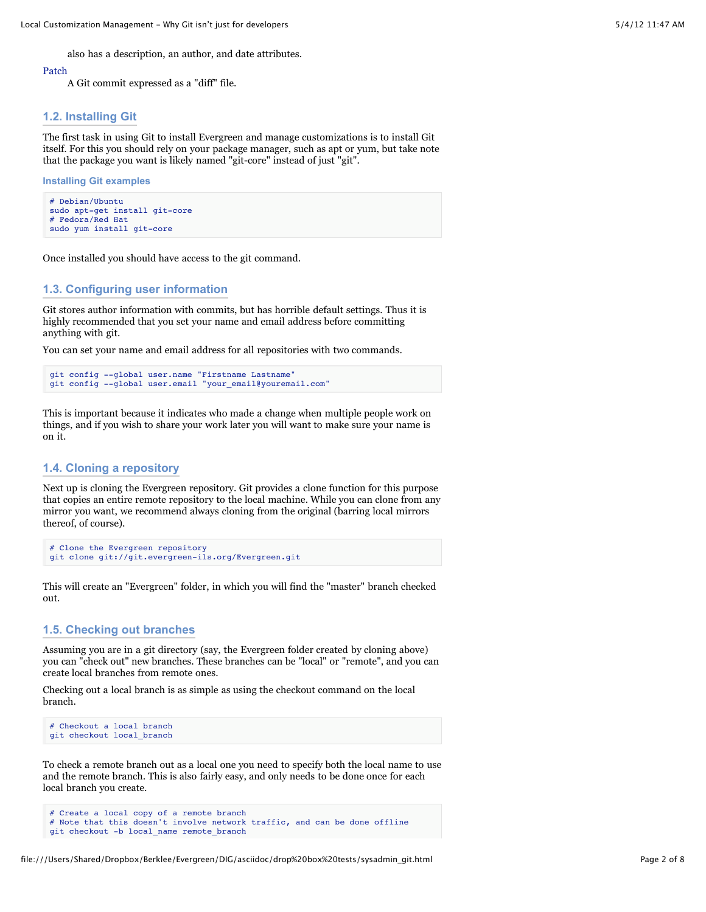also has a description, an author, and date attributes.

#### Patch

A Git commit expressed as a "diff" file.

#### **1.2. Installing Git**

The first task in using Git to install Evergreen and manage customizations is to install Git itself. For this you should rely on your package manager, such as apt or yum, but take note that the package you want is likely named "git-core" instead of just "git".

```
Installing Git examples
```

```
# Debian/Ubuntu
sudo apt-get install git-core
# Fedora/Red Hat
sudo yum install git-core
```
Once installed you should have access to the git command.

#### **1.3. Configuring user information**

Git stores author information with commits, but has horrible default settings. Thus it is highly recommended that you set your name and email address before committing anything with git.

You can set your name and email address for all repositories with two commands.

```
git config --global user.name "Firstname Lastname"
git config --global user.email "your email@youremail.com"
```
This is important because it indicates who made a change when multiple people work on things, and if you wish to share your work later you will want to make sure your name is on it.

### **1.4. Cloning a repository**

Next up is cloning the Evergreen repository. Git provides a clone function for this purpose that copies an entire remote repository to the local machine. While you can clone from any mirror you want, we recommend always cloning from the original (barring local mirrors thereof, of course).

```
# Clone the Evergreen repository
git clone git://git.evergreen-ils.org/Evergreen.git
```
This will create an "Evergreen" folder, in which you will find the "master" branch checked out.

#### **1.5. Checking out branches**

Assuming you are in a git directory (say, the Evergreen folder created by cloning above) you can "check out" new branches. These branches can be "local" or "remote", and you can create local branches from remote ones.

Checking out a local branch is as simple as using the checkout command on the local branch.

```
# Checkout a local branch
git checkout local_branch
```
To check a remote branch out as a local one you need to specify both the local name to use and the remote branch. This is also fairly easy, and only needs to be done once for each local branch you create.

```
# Create a local copy of a remote branch
# Note that this doesn't involve network traffic, and can be done offline
git checkout -b local_name remote_branch
```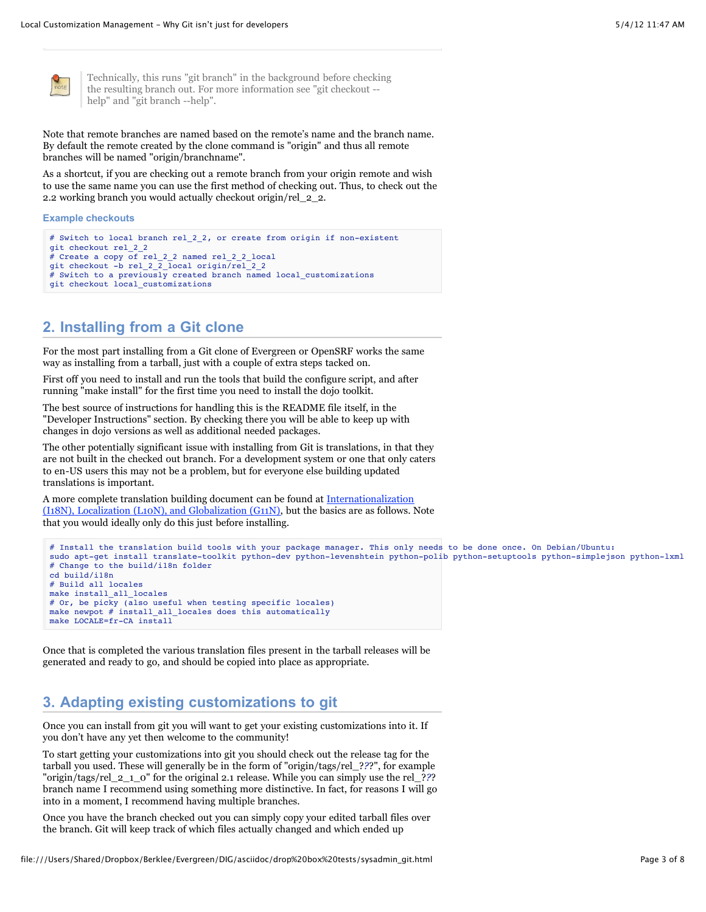

Technically, this runs "git branch" in the background before checking the resulting branch out. For more information see "git checkout - help" and "git branch --help".

Note that remote branches are named based on the remote's name and the branch name. By default the remote created by the clone command is "origin" and thus all remote branches will be named "origin/branchname".

As a shortcut, if you are checking out a remote branch from your origin remote and wish to use the same name you can use the first method of checking out. Thus, to check out the 2.2 working branch you would actually checkout origin/rel\_2\_2.

#### **Example checkouts**

```
# Switch to local branch rel_2_2, or create from origin if non-existent
git checkout rel_2_2
# Create a copy of rel_2_2 named rel_2_2 local
git checkout -b rel_2_2_local origin/rel_2_2
# Switch to a previously created branch named local_customizations
git checkout local_customizations
```
# **2. Installing from a Git clone**

For the most part installing from a Git clone of Evergreen or OpenSRF works the same way as installing from a tarball, just with a couple of extra steps tacked on.

First off you need to install and run the tools that build the configure script, and after running "make install" for the first time you need to install the dojo toolkit.

The best source of instructions for handling this is the README file itself, in the "Developer Instructions" section. By checking there you will be able to keep up with changes in dojo versions as well as additional needed packages.

The other potentially significant issue with installing from Git is translations, in that they are not built in the checked out branch. For a development system or one that only caters to en-US users this may not be a problem, but for everyone else building updated translations is important.

A more complete translation building document can be found at Internationalization [\(I18N\), Localization \(L10N\), and Globalization \(G11N\), but the basics are as follows. N](http://evergreen-ils.org/dokuwiki/doku.php?id=evergreen-admin:customizations:i18n)ote that you would ideally only do this just before installing.

```
# Install the translation build tools with your package manager. This only needs to be done once. On Debian/Ubuntu:
sudo apt-get install translate-toolkit python-dev python-levenshtein python-polib python-setuptools python-simplejson python-lxml
# Change to the build/i18n folder
cd build/i18n
# Build all locales
make install_all_locales
# Or, be picky (also useful when testing specific locales)
make newpot # install_all_locales does this automatically
make LOCALE=fr-CA install
```
Once that is completed the various translation files present in the tarball releases will be generated and ready to go, and should be copied into place as appropriate.

# **3. Adapting existing customizations to git**

Once you can install from git you will want to get your existing customizations into it. If you don't have any yet then welcome to the community!

To start getting your customizations into git you should check out the release tag for the tarball you used. These will generally be in the form of "origin/tags/rel\_?*?*?", for example "origin/tags/rel\_2\_1\_0" for the original 2.1 release. While you can simply use the rel\_?*?*? branch name I recommend using something more distinctive. In fact, for reasons I will go into in a moment, I recommend having multiple branches.

Once you have the branch checked out you can simply copy your edited tarball files over the branch. Git will keep track of which files actually changed and which ended up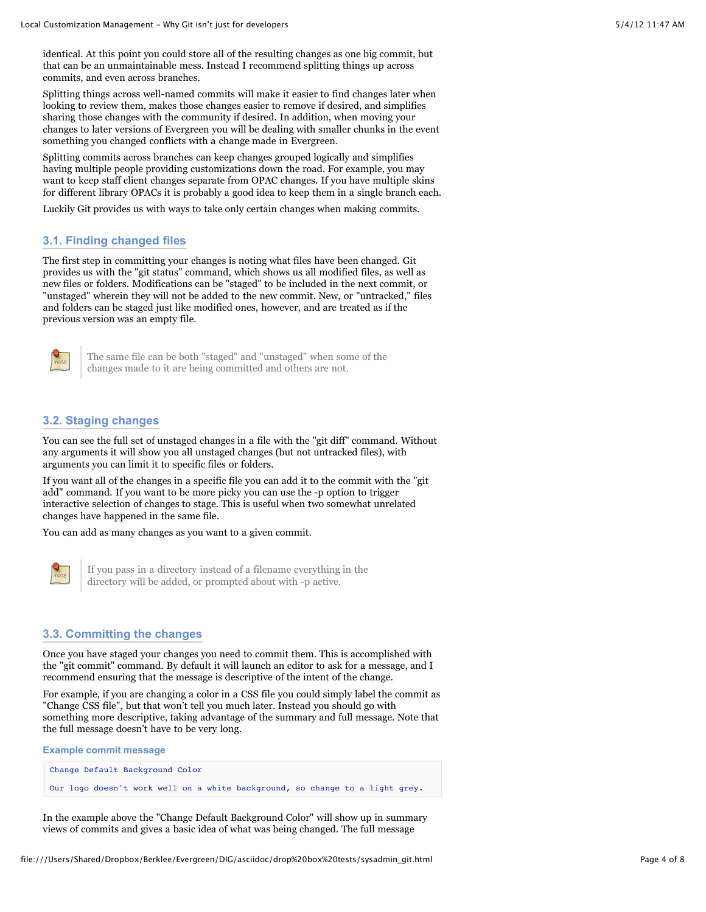identical. At this point you could store all of the resulting changes as one big commit, but that can be an unmaintainable mess. Instead I recommend splitting things up across commits, and even across branches.

Splitting things across well-named commits will make it easier to find changes later when looking to review them, makes those changes easier to remove if desired, and simplifies sharing those changes with the community if desired. In addition, when moving your changes to later versions of Evergreen you will be dealing with smaller chunks in the event something you changed conflicts with a change made in Evergreen.

Splitting commits across branches can keep changes grouped logically and simplifies having multiple people providing customizations down the road. For example, you may want to keep staff client changes separate from OPAC changes. If you have multiple skins for different library OPACs it is probably a good idea to keep them in a single branch each.

Luckily Git provides us with ways to take only certain changes when making commits.

### **3.1. Finding changed files**

The first step in committing your changes is noting what files have been changed. Git provides us with the "git status" command, which shows us all modified files, as well as new files or folders. Modifications can be "staged" to be included in the next commit, or "unstaged" wherein they will not be added to the new commit. New, or "untracked," files and folders can be staged just like modified ones, however, and are treated as if the previous version was an empty file.



The same file can be both "staged" and "unstaged" when some of the changes made to it are being committed and others are not.

### **3.2. Staging changes**

You can see the full set of unstaged changes in a file with the "git diff" command. Without any arguments it will show you all unstaged changes (but not untracked files), with arguments you can limit it to specific files or folders.

If you want all of the changes in a specific file you can add it to the commit with the "git add" command. If you want to be more picky you can use the -p option to trigger interactive selection of changes to stage. This is useful when two somewhat unrelated changes have happened in the same file.

You can add as many changes as you want to a given commit.



If you pass in a directory instead of a filename everything in the directory will be added, or prompted about with -p active.

#### **3.3. Committing the changes**

Once you have staged your changes you need to commit them. This is accomplished with the "git commit" command. By default it will launch an editor to ask for a message, and I recommend ensuring that the message is descriptive of the intent of the change.

For example, if you are changing a color in a CSS file you could simply label the commit as "Change CSS file", but that won't tell you much later. Instead you should go with something more descriptive, taking advantage of the summary and full message. Note that the full message doesn't have to be very long.

| <b>Example commit message</b> |                                                                              |
|-------------------------------|------------------------------------------------------------------------------|
|                               | Change Default Background Color                                              |
|                               | Our logo doesn't work well on a white background, so change to a light grey. |

In the example above the "Change Default Background Color" will show up in summary views of commits and gives a basic idea of what was being changed. The full message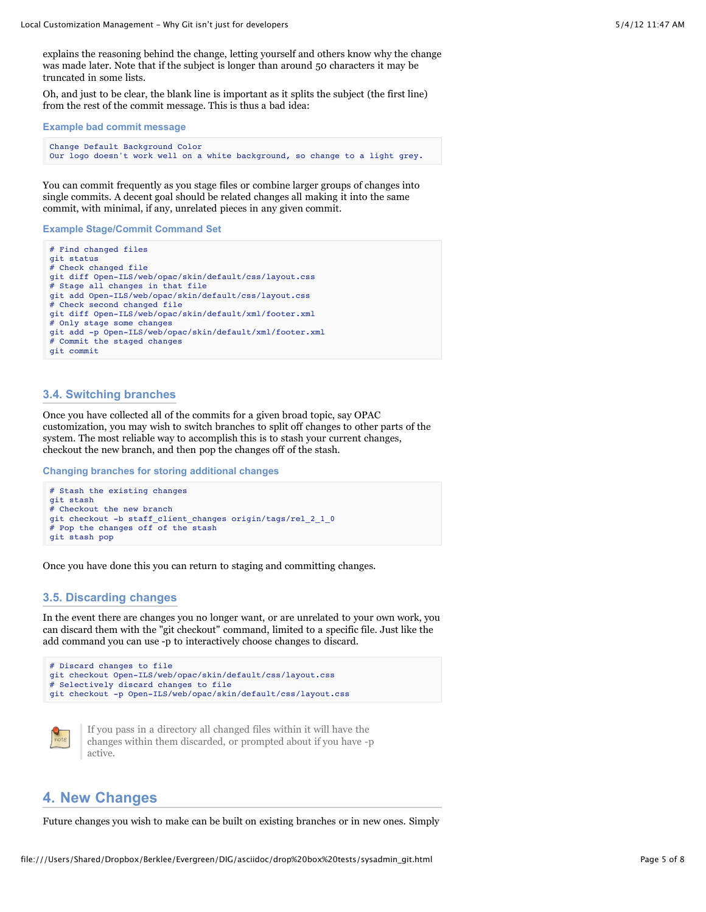explains the reasoning behind the change, letting yourself and others know why the change was made later. Note that if the subject is longer than around 50 characters it may be truncated in some lists.

Oh, and just to be clear, the blank line is important as it splits the subject (the first line) from the rest of the commit message. This is thus a bad idea:

```
Example bad commit message
```
Change Default Background Color Our logo doesn't work well on a white background, so change to a light grey.

You can commit frequently as you stage files or combine larger groups of changes into single commits. A decent goal should be related changes all making it into the same commit, with minimal, if any, unrelated pieces in any given commit.

**Example Stage/Commit Command Set**

```
# Find changed files
git status
# Check changed file
git diff Open-ILS/web/opac/skin/default/css/layout.css
# Stage all changes in that file
git add Open-ILS/web/opac/skin/default/css/layout.css
# Check second changed file
git diff Open-ILS/web/opac/skin/default/xml/footer.xml
# Only stage some changes
git add -p Open-ILS/web/opac/skin/default/xml/footer.xml
# Commit the staged changes
git commit
```
#### **3.4. Switching branches**

Once you have collected all of the commits for a given broad topic, say OPAC customization, you may wish to switch branches to split off changes to other parts of the system. The most reliable way to accomplish this is to stash your current changes, checkout the new branch, and then pop the changes off of the stash.

**Changing branches for storing additional changes**

```
# Stash the existing changes
git stash
# Checkout the new branch
git checkout -b staff_client_changes origin/tags/rel_2_1_0
# Pop the changes off of the stash
git stash pop
```
Once you have done this you can return to staging and committing changes.

#### **3.5. Discarding changes**

In the event there are changes you no longer want, or are unrelated to your own work, you can discard them with the "git checkout" command, limited to a specific file. Just like the add command you can use -p to interactively choose changes to discard.





If you pass in a directory all changed files within it will have the changes within them discarded, or prompted about if you have -p active.

# **4. New Changes**

Future changes you wish to make can be built on existing branches or in new ones. Simply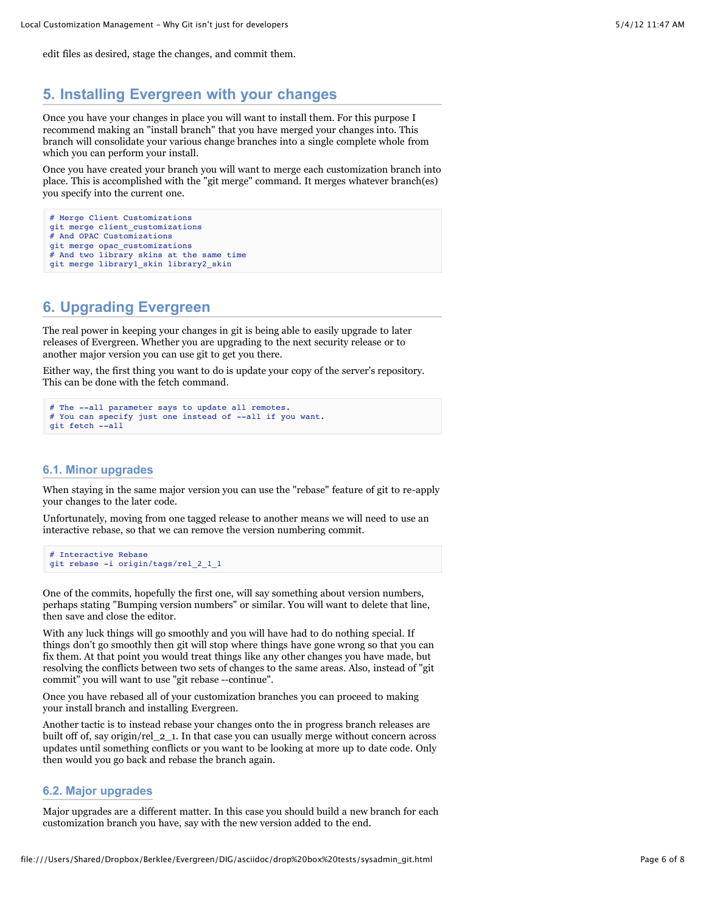edit files as desired, stage the changes, and commit them.

# **5. Installing Evergreen with your changes**

Once you have your changes in place you will want to install them. For this purpose I recommend making an "install branch" that you have merged your changes into. This branch will consolidate your various change branches into a single complete whole from which you can perform your install.

Once you have created your branch you will want to merge each customization branch into place. This is accomplished with the "git merge" command. It merges whatever branch(es) you specify into the current one.

```
# Merge Client Customizations
git merge client_customizations
# And OPAC Customizations
git merge opac_customizations
# And two library skins at the same time
git merge library1_skin library2_skin
```
# **6. Upgrading Evergreen**

The real power in keeping your changes in git is being able to easily upgrade to later releases of Evergreen. Whether you are upgrading to the next security release or to another major version you can use git to get you there.

Either way, the first thing you want to do is update your copy of the server's repository. This can be done with the fetch command.

```
# The --all parameter says to update all remotes.
# You can specify just one instead of --all if you want.
git fetch --all
```
### **6.1. Minor upgrades**

When staying in the same major version you can use the "rebase" feature of git to re-apply your changes to the later code.

Unfortunately, moving from one tagged release to another means we will need to use an interactive rebase, so that we can remove the version numbering commit.

```
# Interactive Rebase
git rebase -i origin/tags/rel_2_1_1
```
One of the commits, hopefully the first one, will say something about version numbers, perhaps stating "Bumping version numbers" or similar. You will want to delete that line, then save and close the editor.

With any luck things will go smoothly and you will have had to do nothing special. If things don't go smoothly then git will stop where things have gone wrong so that you can fix them. At that point you would treat things like any other changes you have made, but resolving the conflicts between two sets of changes to the same areas. Also, instead of "git commit" you will want to use "git rebase --continue".

Once you have rebased all of your customization branches you can proceed to making your install branch and installing Evergreen.

Another tactic is to instead rebase your changes onto the in progress branch releases are built off of, say origin/rel\_2\_1. In that case you can usually merge without concern across updates until something conflicts or you want to be looking at more up to date code. Only then would you go back and rebase the branch again.

### **6.2. Major upgrades**

Major upgrades are a different matter. In this case you should build a new branch for each customization branch you have, say with the new version added to the end.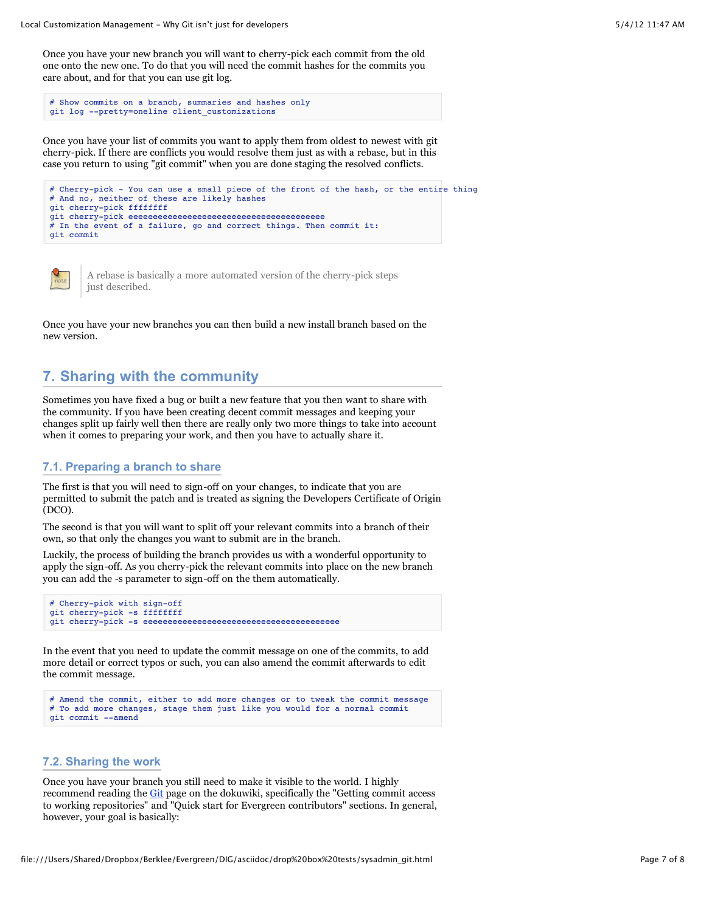Once you have your new branch you will want to cherry-pick each commit from the old one onto the new one. To do that you will need the commit hashes for the commits you care about, and for that you can use git log.

```
# Show commits on a branch, summaries and hashes only
git log --pretty=oneline client_customizations
```
Once you have your list of commits you want to apply them from oldest to newest with git cherry-pick. If there are conflicts you would resolve them just as with a rebase, but in this case you return to using "git commit" when you are done staging the resolved conflicts.

```
# Cherry-pick - You can use a small piece of the front of the hash, or the entire thing
# And no, neither of these are likely hashes
git cherry-pick ffffffff
git cherry-pick eeeeeeeeeeeeeeeeeeeeeeeeeeeeeeeeeeeeeeee
# In the event of a failure, go and correct things. Then commit it:
git commit
```


A rebase is basically a more automated version of the cherry-pick steps just described.

Once you have your new branches you can then build a new install branch based on the new version.

# **7. Sharing with the community**

Sometimes you have fixed a bug or built a new feature that you then want to share with the community. If you have been creating decent commit messages and keeping your changes split up fairly well then there are really only two more things to take into account when it comes to preparing your work, and then you have to actually share it.

#### **7.1. Preparing a branch to share**

The first is that you will need to sign-off on your changes, to indicate that you are permitted to submit the patch and is treated as signing the Developers Certificate of Origin (DCO).

The second is that you will want to split off your relevant commits into a branch of their own, so that only the changes you want to submit are in the branch.

Luckily, the process of building the branch provides us with a wonderful opportunity to apply the sign-off. As you cherry-pick the relevant commits into place on the new branch you can add the -s parameter to sign-off on the them automatically.

```
# Cherry-pick with sign-off
git cherry-pick -s ffffffff
git cherry-pick -s eeeeeeeeeeeeeeeeeeeeeeeeeeeeeeeeeeeeeeee
```
In the event that you need to update the commit message on one of the commits, to add more detail or correct typos or such, you can also amend the commit afterwards to edit the commit message.

```
# Amend the commit, either to add more changes or to tweak the commit message
# To add more changes, stage them just like you would for a normal commit
git commit --amend
```
### **7.2. Sharing the work**

Once you have your branch you still need to make it visible to the world. I highly recommend reading the [Git](http://evergreen-ils.org/dokuwiki/doku.php?id=dev:git) page on the dokuwiki, specifically the "Getting commit access to working repositories" and "Quick start for Evergreen contributors" sections. In general, however, your goal is basically: